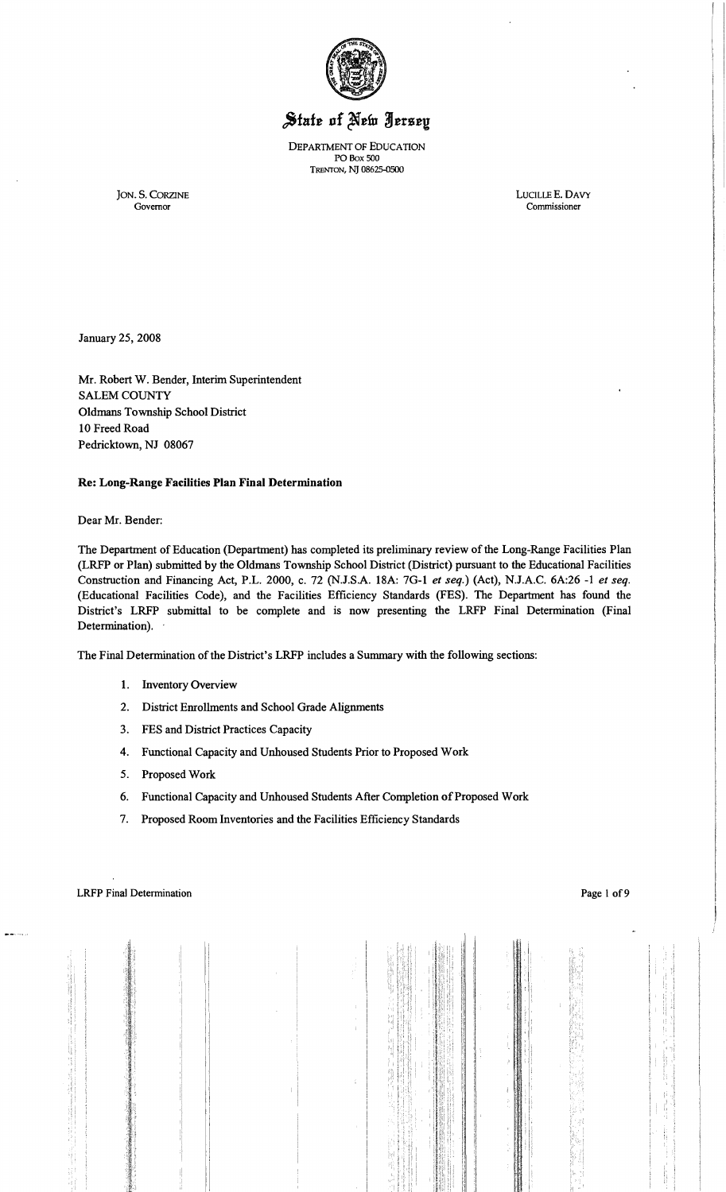

# State of New Jersey

DEPARTMENT OF EDUCATION PO Box SOD TRENTON, NJ 08625-0500

JON. S. CORZINE LUCILLEE. DAVY

Commissioner

January 25, 2008

Mr. Robert W. Bender, Interim Superintendent SALEM COUNTY Oldmans Township School District 10 Freed Road Pedricktown, NJ 08067

## Re: Long-Range Facilities Plan Final Determination

#### Dear Mr. Bender:

The Department of Education (Department) has completed its preliminary review of the Long-Range Facilities Plan (LRFP or Plan) submitted by the Oldmans Township School District (District) pursuant to the Educational Facilities Construction and Financing Act, P.L. 2000, c. 72 (N.J.S.A. 18A: 7G-I *et seq.)* (Act), N.J.A.C. 6A:26 -1 *et seq.*  (Educational Facilities Code), and the Facilities Efficiency Standards (FES). The Department has found the District's LRFP submittal to be complete and is now presenting the LRFP Final Determination (Final Determination).

The Final Determination of the District's LRFP includes a Sunnnary with the following sections:

- I. Inventory Overview
- 2. District Enrollments and School Grade Alignments
- 3. FES and District Practices Capacity
- 4. Functional Capacity and Unhoused Students Prior to Proposed Work
- 5. Proposed Work
- 6. Functional Capacity and Unhoused Students After Completion of Proposed Work
- 7. Proposed Room Inventories and the Facilities Efficiency Standards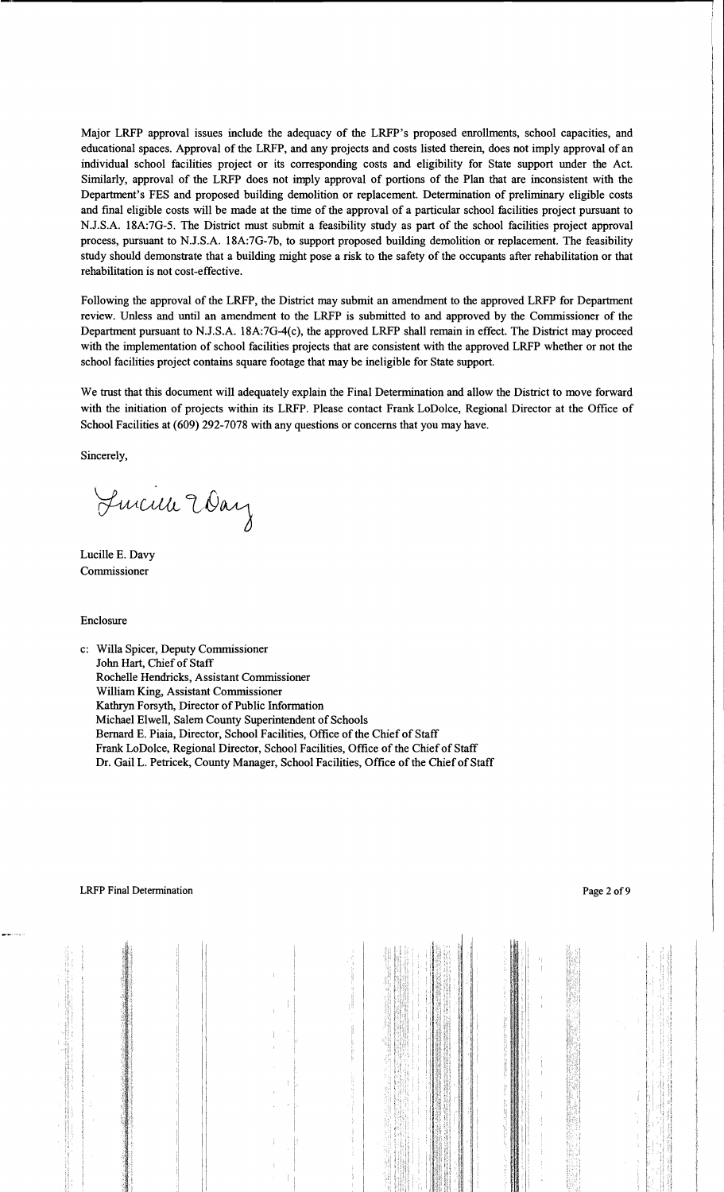Major LRFP approval issues include the adequacy of the LRFP's proposed enrollments, school capacities, and educational spaces. Approval of the LRFP, and any projects and costs listed therein, does not imply approval of an individual school facilities project or its corresponding costs and eligibility for State support under the Act. Similarly, approval of the LRFP does not imply approval of portions of the Plan that are inconsistent with the Department's FES and proposed building demolition or replacement. Determination of preliminary eligible costs and final eligible costs will be made at the time of the approval of a particular school facilities project pursuant to NJ.S.A. 18A:7G-5. The District must submit a feasibility study as part of the school facilities project approval process, pursuant to N.J.S.A. 18A:7G-7b, to support proposed building demolition or replacement. The feasibility study should demonstrate that a building might pose a risk to the safety of the occupants after rehabilitation or that rehabilitation is not cost-effective.

Following the approval of the LRFP, the District may submit an amendment to the approved LRFP for Department review. Unless and until an amendment to the LRFP is submitted to and approved by the Commissioner of the Department pursuant to N.J.S.A. 18A:7G-4(c), the approved LRFP shall remain in effect. The District may proceed with the implementation of school facilities projects that are consistent with the approved LRFP whether or not the school facilities project contains square footage that may be ineligible for State support.

We trust that this document will adequately explain the Final Determination and allow the District to move forward with the initiation of projects within its LRFP. Please contact Frank LoDolce, Regional Director at the Office of School Facilities at (609) 292-7078 with any questions or concerns that you may have.

Sincerely,

Lucille Eday

Lucille E. Davy Commissioner

Enclosure

c: Willa Spicer, Deputy Commissioner John Hart, Chief of Staff Rochelle Hendricks, Assistant Commissioner William King, Assistant Commissioner Kathryn Forsyth, Director of Public Information Michael Elwell, Salem County Superintendent of Schools Bernard E. Piaia, Director, School Facilities, Office of the Chief of Staff Frank LoDolce, Regional Director, School Facilities, Office of the Chief of Staff Dr. Gail L. Petricek, County Manager, School Facilities, Office of the Chief of Staff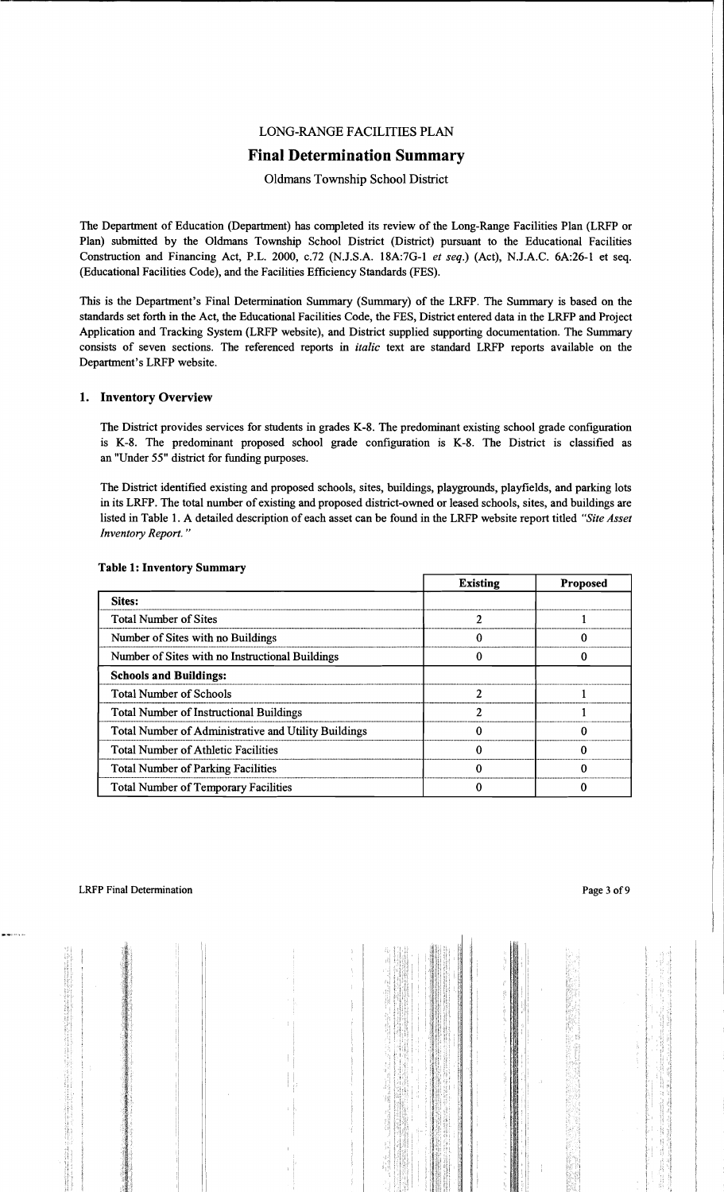## LONG-RANGE FACILITIES PLAN

## **Final Determination Summary**

## Oldmans Township School District

The Department of Education (Department) has completed its review of the Long-Range Facilities Plan (LRFP or Plan) submitted by the Oldmans Township School District (District) pursuant to the Educational Facilities Construction and Financing Act, P.L. 2000, c.72 (N.J.S.A. 18A:7G-l *et seq.)* (Act), N.J.A.C. 6A:26-1 et seq. (Educational Facilities Code), and the Facilities Efficiency Standards (FES).

This is the Department's Final Determination Summary (Summary) of the LRFP. The Summary is based on the standards set forth in the Act, the Educational Facilities Code, the FES, District entered data in the LRFP and Project Application and Tracking System (LRFP website), and District supplied supporting documentation. The Summary consists of seven sections. The referenced reports in *italic* text are standard LRFP reports available on the Department's LRFP website.

## 1. Inventory Overview

The District provides services for students in grades K-8. The predominant existing school grade configuration is K-8. The predominant proposed school grade configuration is K-8. The District is classified as an "Under 55" district for funding purposes.

The District identified existing and proposed schools, sites, buildings, playgrounds, playfields, and parking lots in its LRFP. The total number of existing and proposed district-owned or leased schools, sites, and buildings are listed in Table 1. A detailed description of each asset can be found in the LRFP website report titled *"Site Asset Inventory Report. "* 

|                                                      | <b>Existing</b> | <b>Proposed</b> |
|------------------------------------------------------|-----------------|-----------------|
| <b>Sites:</b>                                        |                 |                 |
| <b>Total Number of Sites</b>                         |                 |                 |
| Number of Sites with no Buildings                    |                 |                 |
| Number of Sites with no Instructional Buildings      |                 |                 |
| <b>Schools and Buildings:</b>                        |                 |                 |
| <b>Total Number of Schools</b>                       | ኅ               |                 |
| <b>Total Number of Instructional Buildings</b>       | ר               |                 |
| Total Number of Administrative and Utility Buildings |                 |                 |
| <b>Total Number of Athletic Facilities</b>           |                 |                 |
| <b>Total Number of Parking Facilities</b>            |                 |                 |
| <b>Total Number of Temporary Facilities</b>          |                 |                 |

## Table 1: Inventory Summary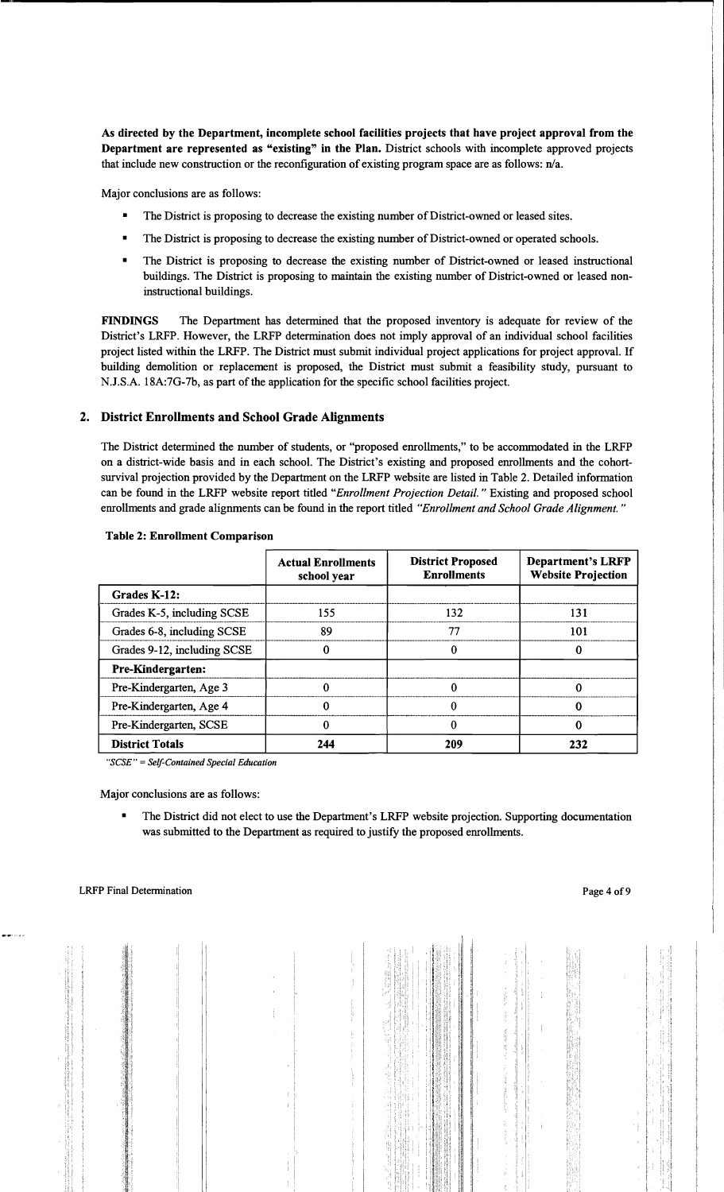As directed by the Department, incomplete school facilities projects that have project approval from the Department are represented as "existing" in the Plan. District schools with incomplete approved projects that include new construction or the reconfiguration of existing program space are as follows: n/a.

Major conclusions are as follows:

- The District is proposing to decrease the existing number of District-owned or leased sites.
- The District is proposing to decrease the existing number of District-owned or operated schools.
- The District is proposing to decrease the existing number of District-owned or leased instructional buildings. The District is proposing to maintain the existing number of District-owned or leased noninstructional buildings.

FINDINGS The Department has determined that the proposed inventory is adequate for review of the District's LRFP. However, the LRFP determination does not imply approval of an individual school facilities project listed within the LRFP. The District must submit individual project applications for project approval. If building demolition or replacement is proposed, the District must submit a feasibility study, pursuant to N.J.S.A. 18A:7G-7b, as part of the application for the specific school facilities project.

## 2. District Enrollments and School Grade Alignments

The District determined the number of students, or "proposed enrollments," to be accommodated in the LRFP on a district-wide basis and in each school. The District's existing and proposed enrollments and the cohortsurvival projection provided by the Department on the LRFP website are listed in Table 2. Detailed information can be found in the LRFP website report titled *"Enrollment Projection Detail.* " Existing and proposed school enrollments and grade alignments can be found in the report titled *"Enrollment and School Grade Alignment. "* 

|                             | <b>Actual Enrollments</b><br>school year | <b>District Proposed</b><br><b>Enrollments</b> | <b>Department's LRFP</b><br><b>Website Projection</b> |
|-----------------------------|------------------------------------------|------------------------------------------------|-------------------------------------------------------|
| Grades K-12:                |                                          |                                                |                                                       |
| Grades K-5, including SCSE  | 155                                      | 132                                            | 131                                                   |
| Grades 6-8, including SCSE  | 89                                       | 77                                             | 101                                                   |
| Grades 9-12, including SCSE |                                          |                                                | 0                                                     |
| Pre-Kindergarten:           |                                          |                                                |                                                       |
| Pre-Kindergarten, Age 3     |                                          | 0                                              |                                                       |
| Pre-Kindergarten, Age 4     |                                          |                                                | 0                                                     |
| Pre-Kindergarten, SCSE      |                                          |                                                | 0                                                     |
| <b>District Totals</b>      | 244                                      | 209                                            | 232                                                   |

#### Table 2: Enrollment Comparison

*"SCSE"* =*Self-Contained Special Education* 

Major conclusions are as follows:

The District did not elect to use the Department's LRFP website projection. Supporting documentation was submitted to the Department as required to justify the proposed enrollments.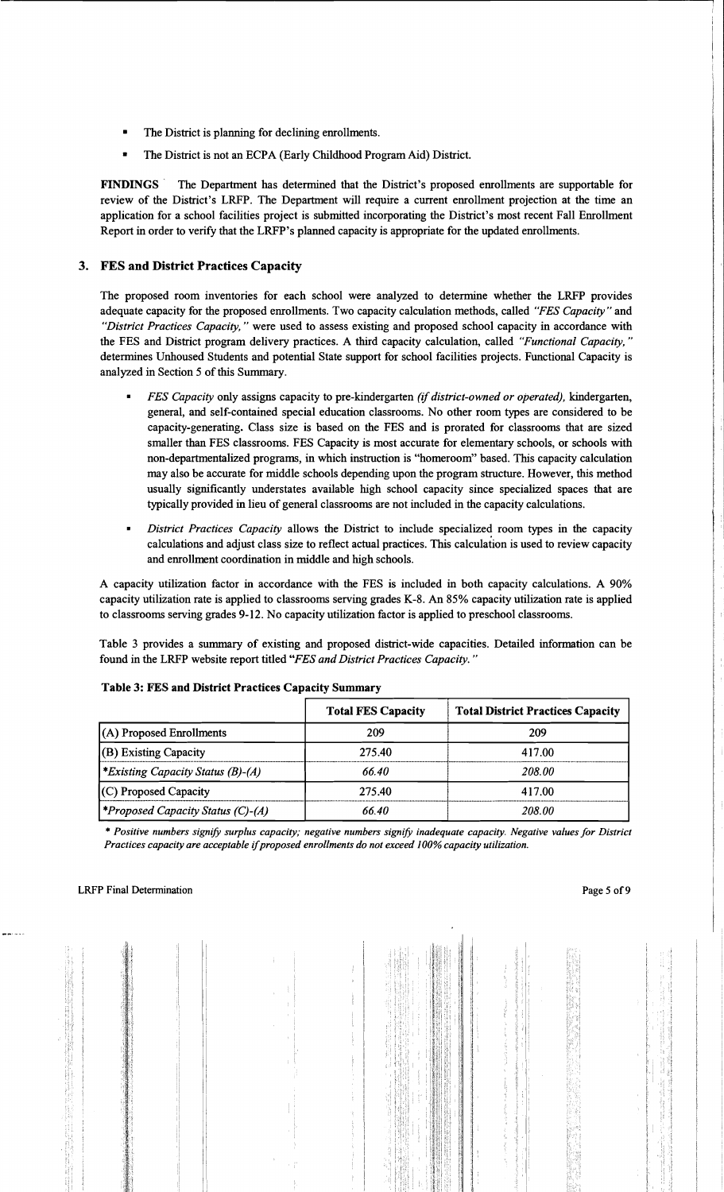- The District is planning for declining enrollments.
- The District is not an ECPA (Early Childhood Program Aid) District.

FINDINGS' The Department has determined that the District's proposed enrollments are supportable for review of the District's LRFP. The Department will require a current enrollment projection at the time an application for a school facilities project is submitted incorporating the District's most recent Fall Enrollment Report in order to verify that the LRFP's planned capacity is appropriate for the updated enrollments.

## 3. FES and District Practices Capacity

The proposed room inventories for each school were analyzed to determine whether the LRFP provides adequate capacity for the proposed enrollments. Two capacity calculation methods, called *"FES Capacity"* and *"District Practices Capacity,* " were used to assess existing and proposed school capacity in accordance with the FES and District program delivery practices. A third capacity calculation, called *"Functional Capacity, "*  determines Unhoused Students and potential State support for school facilities projects. Functional Capacity is analyzed in Section 5 of this Summary.

- *FES Capacity only assigns capacity to pre-kindergarten <i>(if district-owned or operated)*, kindergarten, general, and self-contained special education classrooms. No other room types are considered to be capacity-generating. Class size is based on the FES and is prorated for classrooms that are sized smaller than FES classrooms. FES Capacity is most accurate for elementary schools, or schools with non-departmentalized programs, in which instruction is "homeroom" based. This capacity calculation may also be accurate for middle schools depending upon the program structure. However, this method usually significantly understates available high school capacity since specialized spaces that are typically provided in lieu of general classrooms are not included in the capacity calculations.
- *District Practices Capacity allows the District to include specialized room types in the capacity* calculations and adjust class size to reflect actual practices. This calculation is used to review capacity and enrollment coordination in middle and high schools.

A capacity utilization factor in accordance with the FES is included in both capacity calculations. A 90% capacity utilization rate is applied to classrooms serving grades K-8. An 85% capacity utilization rate is applied to classrooms serving grades 9-12. No capacity utilization factor is applied to preschool classrooms.

Table 3 provides a summary of existing and proposed district-wide capacities. Detailed information can be found in the LRFP website report titled *"FES and District Practices Capacity. "* 

|                                                 | <b>Total FES Capacity</b> | <b>Total District Practices Capacity</b> |
|-------------------------------------------------|---------------------------|------------------------------------------|
| (A) Proposed Enrollments                        | 209                       | 209                                      |
| (B) Existing Capacity                           | 275.40                    | 417.00                                   |
| <i>*Existing Capacity Status (B)-(A)</i>        | 66.40                     | 208.00                                   |
| (C) Proposed Capacity                           | 275.40                    | 417.00                                   |
| <i><b>*Proposed Capacity Status (C)-(A)</b></i> | 66.40                     | 208.00                                   |

## Table 3: FES and District Practices Capacity Summary

\* *Positive numbers signify surplus capacity; negative numbers signify inadequate capacity. Negative values for District Practices capacity are acceptable* if*proposed enrollments do not exceed* J*00% capacity utilization.*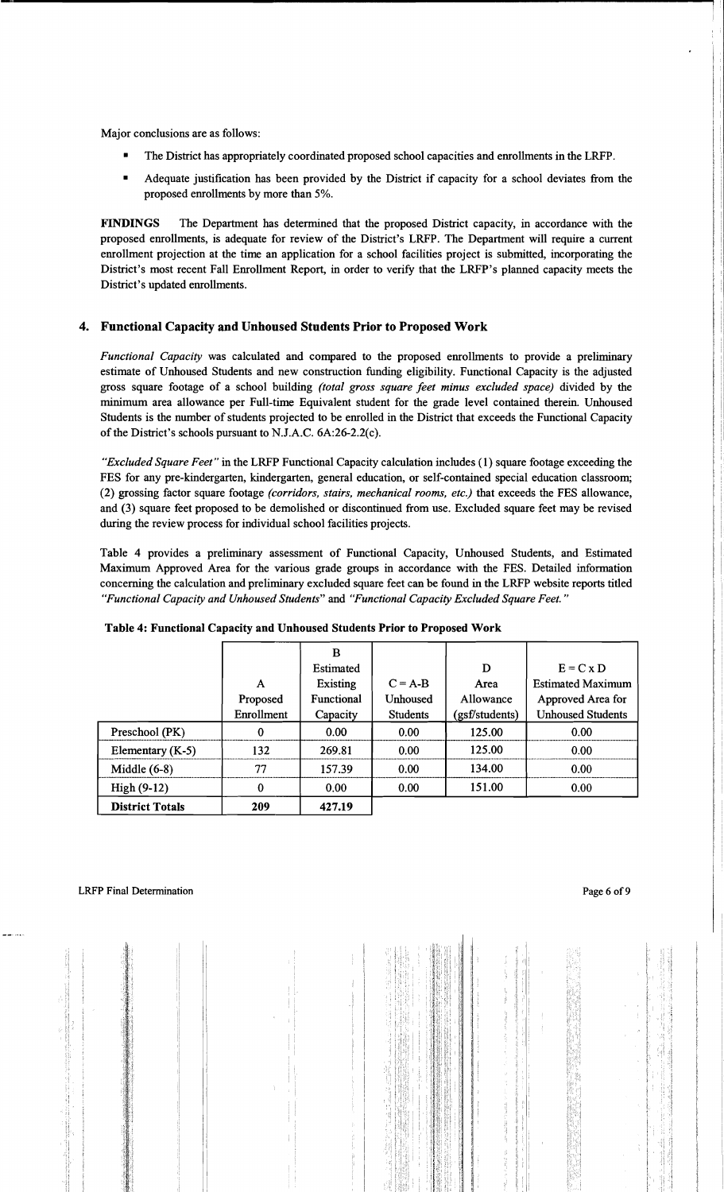Major conclusions are as follows:

- The District has appropriately coordinated proposed school capacities and enrollments in the LRFP.
- Adequate justification has been provided by the District if capacity for a school deviates from the proposed enrollments by more than 5%.

FINDINGS The Department has determined that the proposed District capacity, in accordance with the proposed enrollments, is adequate for review of the District's LRFP. The Department will require a current enrollment projection at the time an application for a school facilities project is submitted, incorporating the District's most recent Fall Enrollment Report, in order to verify that the LRFP's planned capacity meets the District's updated enrollments.

## 4. Functional Capacity and Unhoused Students Prior to Proposed Work

*Functional Capacity* was calculated and compared to the proposed enrollments to provide a preliminary estimate of Unhoused Students and new construction funding eligibility. Functional Capacity is the adjusted gross square footage of a school building *(total gross square feet minus excluded space)* divided by the minimum area allowance per Full-time Equivalent student for the grade level contained therein. Unhoused Students is the number of students projected to be enrolled in the District that exceeds the Functional Capacity of the District's schools pursuant to N.J.A.C.  $6A:26-2.2(c)$ .

*"Excluded Square Feet"* in the LRFP Functional Capacity calculation includes (1) square footage exceeding the FES for any pre-kindergarten, kindergarten, general education, or self-contained special education classroom; (2) grossing factor square footage *(corridors, stairs, mechanical rooms, etc.)* that exceeds the FES allowance, and (3) square feet proposed to be demolished or discontinued from use. Excluded square feet may be revised during the review process for individual school facilities projects.

Table 4 provides a preliminary assessment of Functional Capacity, Unhoused Students, and Estimated Maximum Approved Area for the various grade groups in accordance with the FES. Detailed information concerning the calculation and preliminary excluded square feet can be found in the LRFP website reports titled *"Functional Capacity and Unhoused Students"* and *"Functional Capacity Excluded Square Feet."* 

|                        |              | B                |                   |                |                          |
|------------------------|--------------|------------------|-------------------|----------------|--------------------------|
|                        |              | <b>Estimated</b> |                   | D              | $E = C x D$              |
|                        | $\mathsf{A}$ | Existing         | $C = A-B$         | Area           | <b>Estimated Maximum</b> |
|                        | Proposed     | Functional       | Unhoused          | Allowance      | Approved Area for        |
|                        | Enrollment   | Capacity         | <b>Students</b>   | (gsf/students) | <b>Unhoused Students</b> |
| Preschool (PK)         | $\mathbf 0$  | 0.00             | 0.00              | 125.00         | 0.00                     |
| Elementary $(K-5)$     | 132          | 269.81           | 0.00 <sub>1</sub> | 125.00         | 0.00                     |
| Middle $(6-8)$         | 77           | 157.39           | 0.00              | 134.00         | 0.00                     |
| $High(9-12)$           | $\bf{0}$     | 0.00             | 0.00              | 151.00         | 0.00                     |
| <b>District Totals</b> | 209          | 427.19           |                   |                |                          |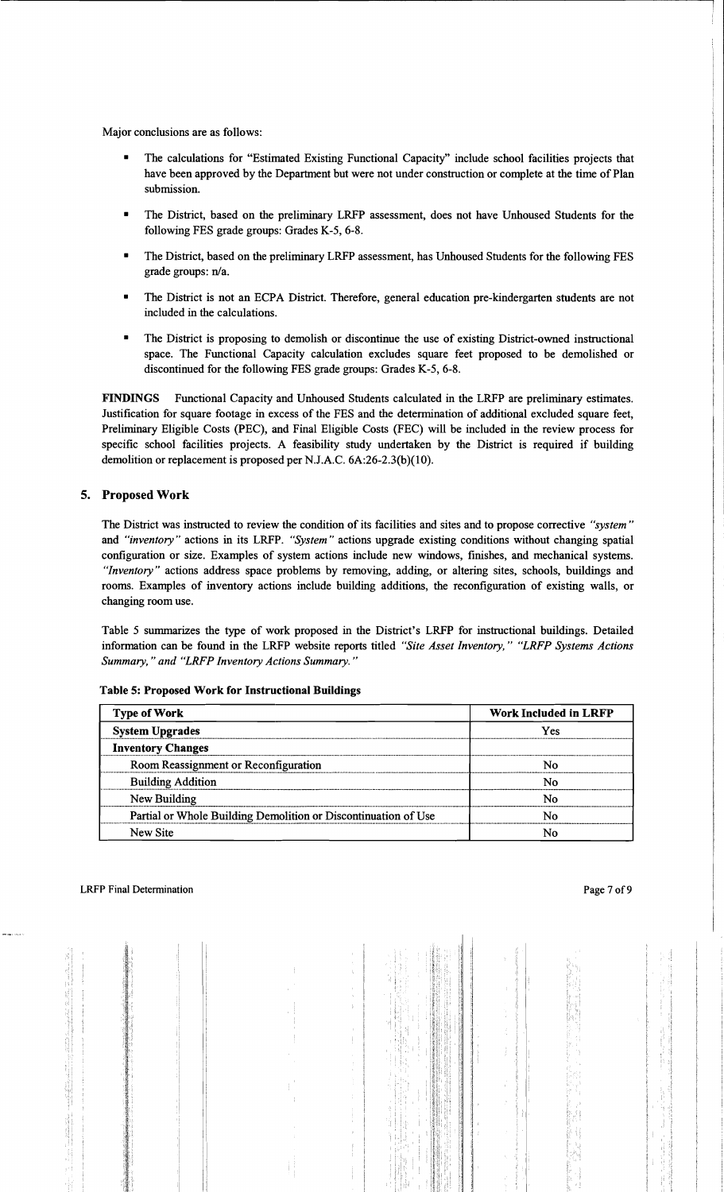Major conclusions are as follows:

- The calculations for "Estimated Existing Functional Capacity" include school facilities projects that have been approved by the Department but were not under construction or complete at the time of Plan submission.
- The District, based on the preliminary LRFP assessment, does not have Unhoused Students for the following FES grade groups: Grades K-5, 6-8.
- The District, based on the preliminary LRFP assessment, has Unhoused Students for the following FES grade groups: n/a.
- The District is not an ECPA District. Therefore, general education pre-kindergarten students are not included in the calculations.
- The District is proposing to demolish or discontinue the use of existing District-owned instructional space. The Functional Capacity calculation excludes square feet proposed to be demolished or discontinued for the following FES grade groups: Grades K-5, 6-8.

FINDINGS Functional Capacity and Unhoused Students calculated in the LRFP are preliminary estimates. Justification for square footage in excess of the FES and the determination of additional excluded square feet, Preliminary Eligible Costs (PEC), and Final Eligible Costs (FEC) will be included in the review process for specific school facilities projects. A feasibility study undertaken by the District is required if building demolition or replacement is proposed per N.J.A.C. 6A:26-2.3(b)(10).

## 5. Proposed Work

The District was instructed to review the condition of its facilities and sites and to propose corrective *"system"*  and *"inventory"* actions in its LRFP. *"System"* actions upgrade existing conditions without changing spatial configuration or size. Examples of system actions include new windows, finishes, and mechanical systems. *"Inventory"* actions address space problems by removing, adding, or altering sites, schools, buildings and rooms. Examples of inventory actions include building additions, the reconfiguration of existing walls, or changing room use.

Table 5 summarizes the type of work proposed in the District's LRFP for instructional buildings. Detailed information can be found in the LRFP website reports titled *"Site Asset Inventory," "LRFP Systems Actions Summary," and "LRFP Inventory Actions Summary."* 

| <b>Type of Work</b>                                            | <b>Work Included in LRFP</b> |
|----------------------------------------------------------------|------------------------------|
| <b>System Upgrades</b>                                         | Yes                          |
| <b>Inventory Changes</b>                                       |                              |
| Room Reassignment or Reconfiguration                           | N٥                           |
| <b>Building Addition</b>                                       | N٥                           |
| New Building                                                   | N٥                           |
| Partial or Whole Building Demolition or Discontinuation of Use | N٥                           |
| New Site                                                       | No                           |

Table 5: Proposed Work for Instructional Buildings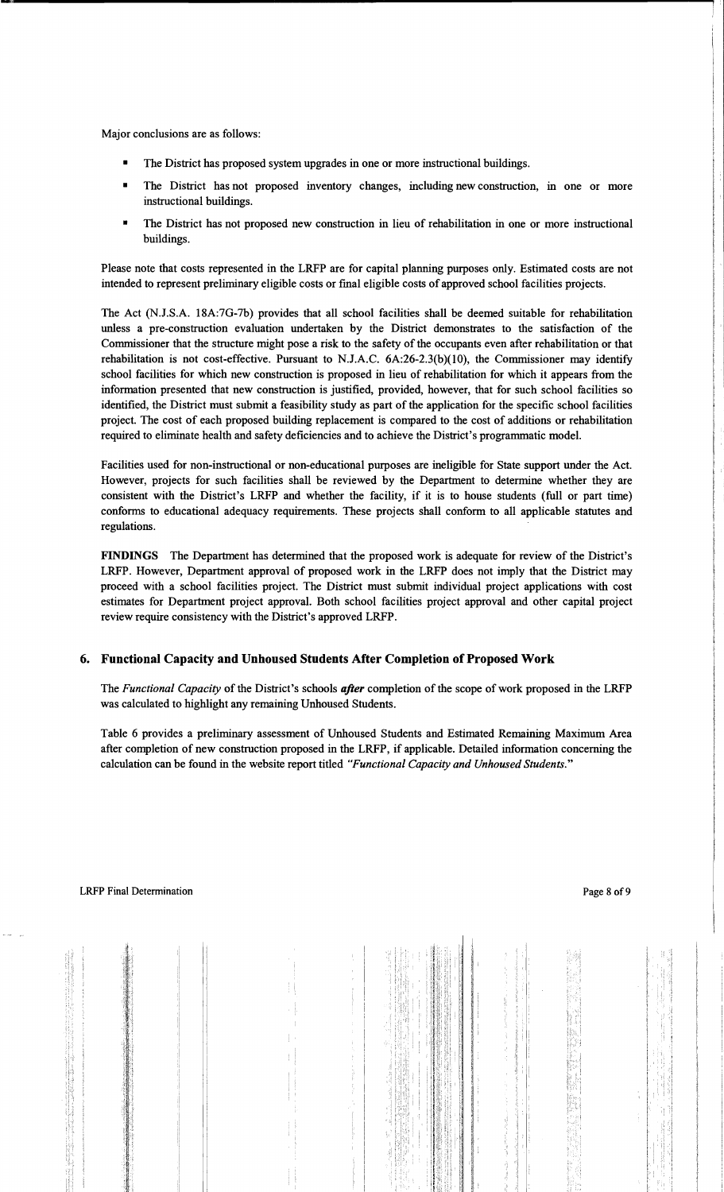Major conclusions are as follows:

- The District has proposed system upgrades in one or more instructional buildings.
- The District has not proposed inventory changes, including new construction, in one or more instructional buildings.
- The District has not proposed new construction in lieu of rehabilitation in one or more instructional buildings.

Please note that costs represented in the LRFP are for capital planning purposes only. Estimated costs are not intended to represent preliminary eligible costs or fmal eligible costs of approved school facilities projects.

The Act (N.J.S.A. 18A:7G-7b) provides that all school facilities shall be deemed suitable for rehabilitation unless a pre-construction evaluation undertaken by the District demonstrates to the satisfaction of the Commissioner that the structure might pose a risk to the safety of the occupants even after rehabilitation or that rehabilitation is not cost-effective. Pursuant to N.J.A.C.  $6A:26-2.3(b)(10)$ , the Commissioner may identify school facilities for which new construction is proposed in lieu of rehabilitation for which it appears from the information presented that new construction is justified, provided, however, that for such school facilities so identified, the District must submit a feasibility study as part of the application for the specific school facilities project. The cost of each proposed building replacement is compared to the cost of additions or rehabilitation required to eliminate health and safety deficiencies and to achieve the District's programmatic model.

Facilities used for non-instructional or non-educational purposes are ineligible for State support under the Act. However, projects for such facilities shall be reviewed by the Department to determine whether they are consistent with the District's LRFP and whether the facility, if it is to house students (full or part time) conforms to educational adequacy requirements. These projects shall conform to all applicable statutes and regulations.

**FINDINGS** The Department has determined that the proposed work is adequate for review of the District's LRFP. However, Department approval of proposed work in the LRFP does not imply that the District may proceed with a school facilities project. The District must submit individual project applications with cost estimates for Department project approval. Both school facilities project approval and other capital project review require consistency with the District's approved LRFP.

## **6. Functional Capacity and Unhoused Students After Completion** of Proposed **Work**

The *Functional Capacity* of the District's schools *after* completion of the scope of work proposed in the LRFP was calculated to highlight any remaining Unhoused Students.

Table 6 provides a preliminary assessment of Unhoused Students and Estimated Remaining Maximum Area after completion of new construction proposed in the LRFP, if applicable. Detailed information concerning the calculation can be found in the website report titled *"Functional Capacity and Unhoused Students."*